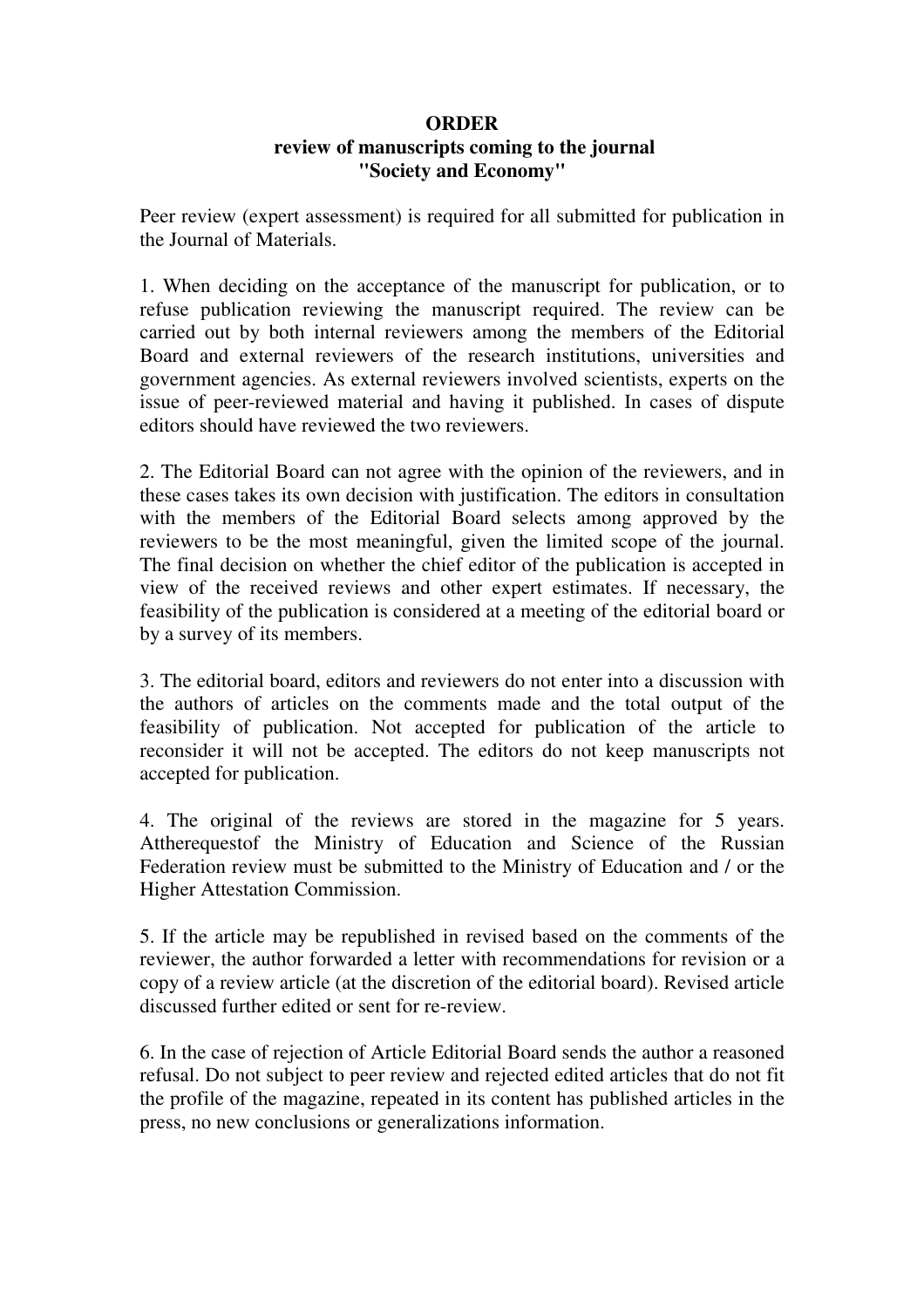## **ORDER review of manuscripts coming to the journal "Society and Economy"**

Peer review (expert assessment) is required for all submitted for publication in the Journal of Materials.

1. When deciding on the acceptance of the manuscript for publication, or to refuse publication reviewing the manuscript required. The review can be carried out by both internal reviewers among the members of the Editorial Board and external reviewers of the research institutions, universities and government agencies. As external reviewers involved scientists, experts on the issue of peer-reviewed material and having it published. In cases of dispute editors should have reviewed the two reviewers.

2. The Editorial Board can not agree with the opinion of the reviewers, and in these cases takes its own decision with justification. The editors in consultation with the members of the Editorial Board selects among approved by the reviewers to be the most meaningful, given the limited scope of the journal. The final decision on whether the chief editor of the publication is accepted in view of the received reviews and other expert estimates. If necessary, the feasibility of the publication is considered at a meeting of the editorial board or by a survey of its members.

3. The editorial board, editors and reviewers do not enter into a discussion with the authors of articles on the comments made and the total output of the feasibility of publication. Not accepted for publication of the article to reconsider it will not be accepted. The editors do not keep manuscripts not accepted for publication.

4. The original of the reviews are stored in the magazine for 5 years. Attherequestof the Ministry of Education and Science of the Russian Federation review must be submitted to the Ministry of Education and / or the Higher Attestation Commission.

5. If the article may be republished in revised based on the comments of the reviewer, the author forwarded a letter with recommendations for revision or a copy of a review article (at the discretion of the editorial board). Revised article discussed further edited or sent for re-review.

6. In the case of rejection of Article Editorial Board sends the author a reasoned refusal. Do not subject to peer review and rejected edited articles that do not fit the profile of the magazine, repeated in its content has published articles in the press, no new conclusions or generalizations information.